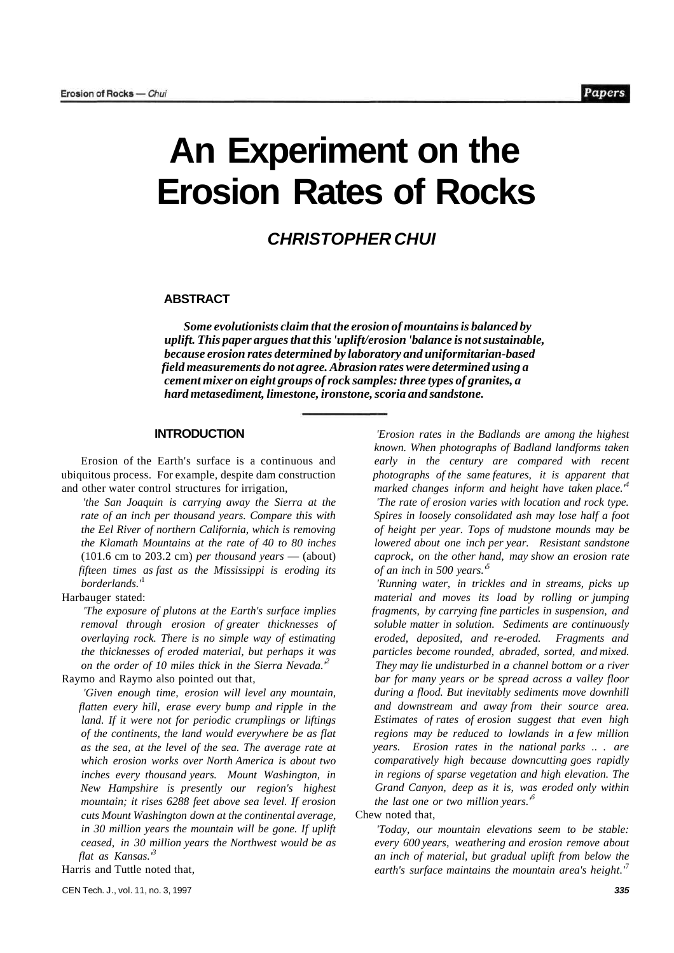# **An Experiment on the Erosion Rates of Rocks**

## **CHRISTOPHER CHUI**

#### **ABSTRACT**

*Some evolutionists claim that the erosion of mountains is balanced by uplift. This paper argues that this 'uplift/erosion 'balance is not sustainable, because erosion rates determined by laboratory and uniformitarian-based field measurements do not agree. Abrasion rates were determined using a cement mixer on eight groups of rock samples: three types of granites, a hard metasediment, limestone, ironstone, scoria and sandstone.* 

## **INTRODUCTION**

Erosion of the Earth's surface is a continuous and ubiquitous process. For example, despite dam construction and other water control structures for irrigation,

*'the San Joaquin is carrying away the Sierra at the rate of an inch per thousand years. Compare this with the Eel River of northern California, which is removing the Klamath Mountains at the rate of 40 to 80 inches*  (101.6 cm to 203.2 cm) *per thousand years* — (about) *fifteen times as fast as the Mississippi is eroding its borderlands.'*<sup>1</sup>

Harbauger stated:

*'The exposure of plutons at the Earth's surface implies removal through erosion of greater thicknesses of overlaying rock. There is no simple way of estimating the thicknesses of eroded material, but perhaps it was on the order of 10 miles thick in the Sierra Nevada.'<sup>2</sup>* Raymo and Raymo also pointed out that,

*'Given enough time, erosion will level any mountain, flatten every hill, erase every bump and ripple in the land. If it were not for periodic crumplings or liftings of the continents, the land would everywhere be as flat as the sea, at the level of the sea. The average rate at which erosion works over North America is about two inches every thousand years. Mount Washington, in New Hampshire is presently our region's highest mountain; it rises 6288 feet above sea level. If erosion cuts Mount Washington down at the continental average, in 30 million years the mountain will be gone. If uplift ceased, in 30 million years the Northwest would be as flat as Kansas.'<sup>3</sup>*

Harris and Tuttle noted that,

*'Erosion rates in the Badlands are among the highest known. When photographs of Badland landforms taken early in the century are compared with recent photographs of the same features, it is apparent that marked changes inform and height have taken place.'<sup>4</sup>*

*'The rate of erosion varies with location and rock type. Spires in loosely consolidated ash may lose half a foot of height per year. Tops of mudstone mounds may be lowered about one inch per year. Resistant sandstone caprock, on the other hand, may show an erosion rate of an inch in 500 years.'<sup>5</sup>*

*'Running water, in trickles and in streams, picks up material and moves its load by rolling or jumping fragments, by carrying fine particles in suspension, and soluble matter in solution. Sediments are continuously eroded, deposited, and re-eroded. Fragments and particles become rounded, abraded, sorted, and mixed. They may lie undisturbed in a channel bottom or a river bar for many years or be spread across a valley floor during a flood. But inevitably sediments move downhill and downstream and away from their source area. Estimates of rates of erosion suggest that even high regions may be reduced to lowlands in a few million years. Erosion rates in the national parks .. . are comparatively high because downcutting goes rapidly in regions of sparse vegetation and high elevation. The Grand Canyon, deep as it is, was eroded only within the last one or two million years.'<sup>6</sup>*

#### Chew noted that,

*'Today, our mountain elevations seem to be stable: every 600 years, weathering and erosion remove about an inch of material, but gradual uplift from below the earth's surface maintains the mountain area's height.'*<sup>7</sup>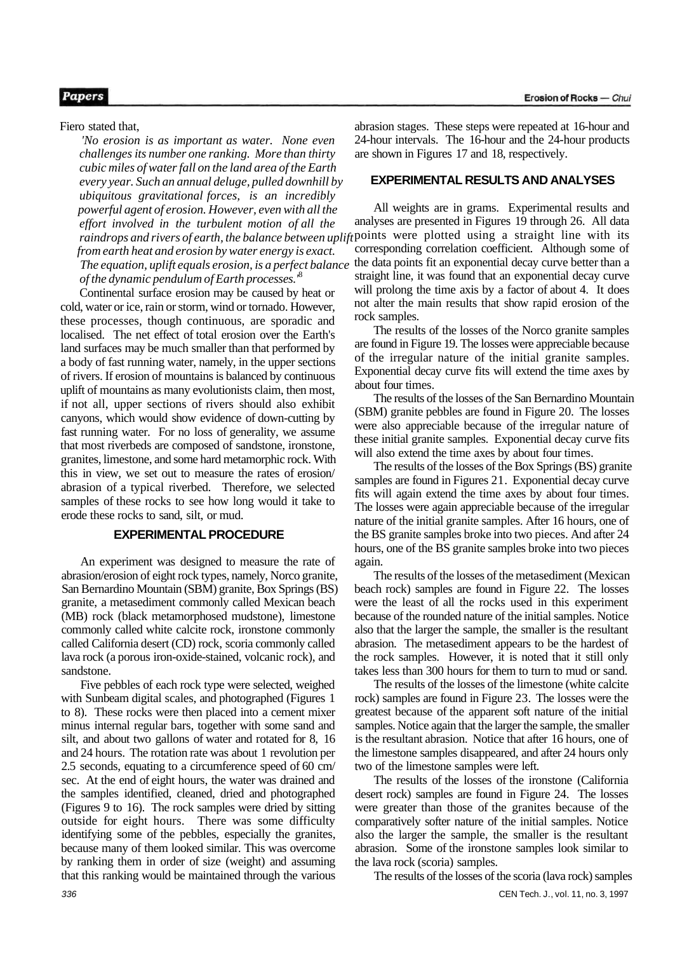## **Papers**

Fiero stated that,

*'No erosion is as important as water. None even challenges its number one ranking. More than thirty cubic miles of water fall on the land area of the Earth every year. Such an annual deluge, pulled downhill by ubiquitous gravitational forces, is an incredibly powerful agent of erosion. However, even with all the effort involved in the turbulent motion of all the from earth heat and erosion by water energy is exact. The equation, uplift equals erosion, is a perfect balance of the dynamic pendulum of Earth processes.'*<sup>8</sup>

Continental surface erosion may be caused by heat or cold, water or ice, rain or storm, wind or tornado. However, these processes, though continuous, are sporadic and localised. The net effect of total erosion over the Earth's land surfaces may be much smaller than that performed by a body of fast running water, namely, in the upper sections of rivers. If erosion of mountains is balanced by continuous uplift of mountains as many evolutionists claim, then most, if not all, upper sections of rivers should also exhibit canyons, which would show evidence of down-cutting by fast running water. For no loss of generality, we assume that most riverbeds are composed of sandstone, ironstone, granites, limestone, and some hard metamorphic rock. With this in view, we set out to measure the rates of erosion/ abrasion of a typical riverbed. Therefore, we selected samples of these rocks to see how long would it take to erode these rocks to sand, silt, or mud.

## **EXPERIMENTAL PROCEDURE**

An experiment was designed to measure the rate of abrasion/erosion of eight rock types, namely, Norco granite, San Bernardino Mountain (SBM) granite, Box Springs (BS) granite, a metasediment commonly called Mexican beach (MB) rock (black metamorphosed mudstone), limestone commonly called white calcite rock, ironstone commonly called California desert (CD) rock, scoria commonly called lava rock (a porous iron-oxide-stained, volcanic rock), and sandstone.

Five pebbles of each rock type were selected, weighed with Sunbeam digital scales, and photographed (Figures 1 to 8). These rocks were then placed into a cement mixer minus internal regular bars, together with some sand and silt, and about two gallons of water and rotated for 8, 16 and 24 hours. The rotation rate was about 1 revolution per 2.5 seconds, equating to a circumference speed of 60 cm/ sec. At the end of eight hours, the water was drained and the samples identified, cleaned, dried and photographed (Figures 9 to 16). The rock samples were dried by sitting outside for eight hours. There was some difficulty identifying some of the pebbles, especially the granites, because many of them looked similar. This was overcome by ranking them in order of size (weight) and assuming that this ranking would be maintained through the various

abrasion stages. These steps were repeated at 16-hour and 24-hour intervals. The 16-hour and the 24-hour products are shown in Figures 17 and 18, respectively.

#### **EXPERIMENTAL RESULTS AND ANALYSES**

raindrops and rivers of earth, the balance between uplift points were plotted using a straight line with its All weights are in grams. Experimental results and analyses are presented in Figures 19 through 26. All data corresponding correlation coefficient. Although some of the data points fit an exponential decay curve better than a straight line, it was found that an exponential decay curve will prolong the time axis by a factor of about 4. It does not alter the main results that show rapid erosion of the rock samples.

> The results of the losses of the Norco granite samples are found in Figure 19. The losses were appreciable because of the irregular nature of the initial granite samples. Exponential decay curve fits will extend the time axes by about four times.

The results of the losses of the San Bernardino Mountain (SBM) granite pebbles are found in Figure 20. The losses were also appreciable because of the irregular nature of these initial granite samples. Exponential decay curve fits will also extend the time axes by about four times.

The results of the losses of the Box Springs (BS) granite samples are found in Figures 21. Exponential decay curve fits will again extend the time axes by about four times. The losses were again appreciable because of the irregular nature of the initial granite samples. After 16 hours, one of the BS granite samples broke into two pieces. And after 24 hours, one of the BS granite samples broke into two pieces again.

The results of the losses of the metasediment (Mexican beach rock) samples are found in Figure 22. The losses were the least of all the rocks used in this experiment because of the rounded nature of the initial samples. Notice also that the larger the sample, the smaller is the resultant abrasion. The metasediment appears to be the hardest of the rock samples. However, it is noted that it still only takes less than 300 hours for them to turn to mud or sand.

The results of the losses of the limestone (white calcite rock) samples are found in Figure 23. The losses were the greatest because of the apparent soft nature of the initial samples. Notice again that the larger the sample, the smaller is the resultant abrasion. Notice that after 16 hours, one of the limestone samples disappeared, and after 24 hours only two of the limestone samples were left.

The results of the losses of the ironstone (California desert rock) samples are found in Figure 24. The losses were greater than those of the granites because of the comparatively softer nature of the initial samples. Notice also the larger the sample, the smaller is the resultant abrasion. Some of the ironstone samples look similar to the lava rock (scoria) samples.

The results of the losses of the scoria (lava rock) samples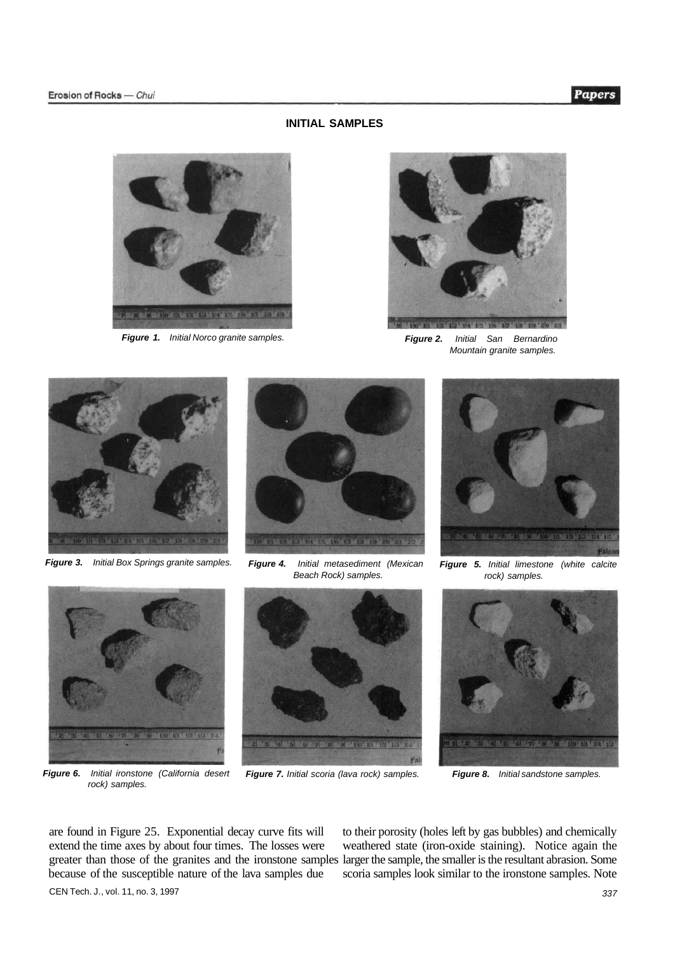#### **INITIAL SAMPLES**





**Figure 1.** Initial Norco granite samples. **Figure 2.** Initial San Bernardino Mountain granite samples.



**Figure 3.** Initial Box Springs granite samples.



**Figure 4.** Initial metasediment (Mexican Beach Rock) samples.



**Figure 6.** Initial ironstone (California desert rock) samples.



**Figure 7.** Initial scoria (lava rock) samples. **Figure 8.** Initial sandstone samples.



**Figure 5.** Initial limestone (white calcite rock) samples.



extend the time axes by about four times. The losses were weathered state (iron-oxide staining). Notice again the greater than those of the granites and the ironstone samples larger the sample, the smaller is the resultant abrasion. Some because of the susceptible nature of the lava samples due scoria samples look similar to the ironstone samples. Note CEN Tech. J., vol. 11, no. 3, 1997 337

are found in Figure 25. Exponential decay curve fits will to their porosity (holes left by gas bubbles) and chemically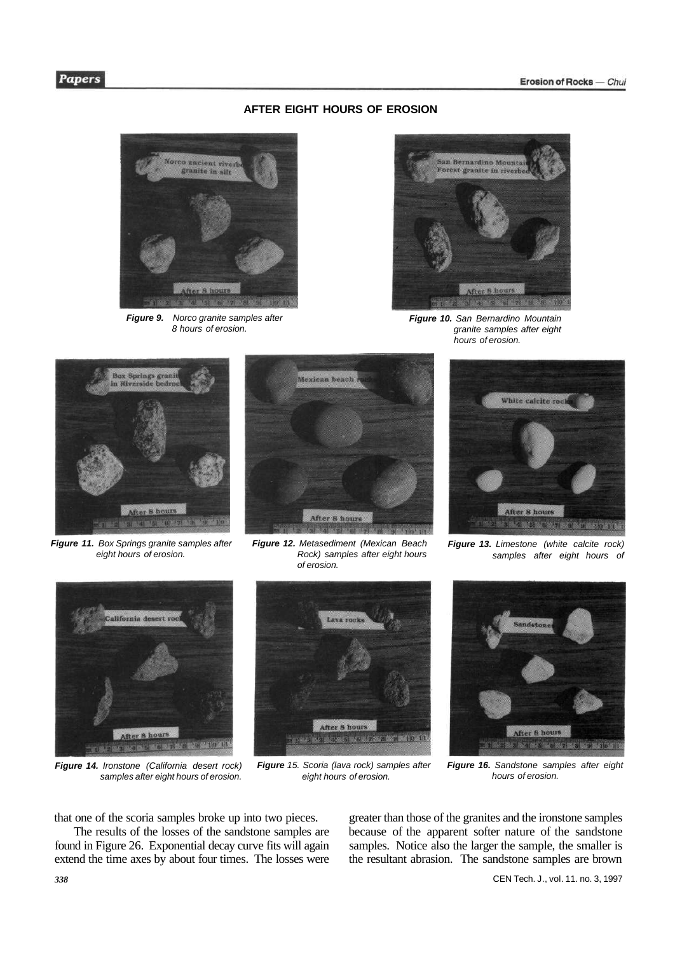## **AFTER EIGHT HOURS OF EROSION**



**Figure 9.** Norco granite samples after 8 hours of erosion.



**Figure 10.** San Bernardino Mountain granite samples after eight hours of erosion.



**Figure 11.** Box Springs granite samples after eight hours of erosion.



**Figure 12.** Metasediment (Mexican Beach Rock) samples after eight hours of erosion.



Figure 13. Limestone (white calcite rock) samples after eight hours of



**Figure 14.** Ironstone (California desert rock) samples after eight hours of erosion.



**Figure** 15. Scoria (lava rock) samples after eight hours of erosion.



**Figure 16.** Sandstone samples after eight hours of erosion.

that one of the scoria samples broke up into two pieces.

The results of the losses of the sandstone samples are found in Figure 26. Exponential decay curve fits will again extend the time axes by about four times. The losses were greater than those of the granites and the ironstone samples because of the apparent softer nature of the sandstone samples. Notice also the larger the sample, the smaller is the resultant abrasion. The sandstone samples are brown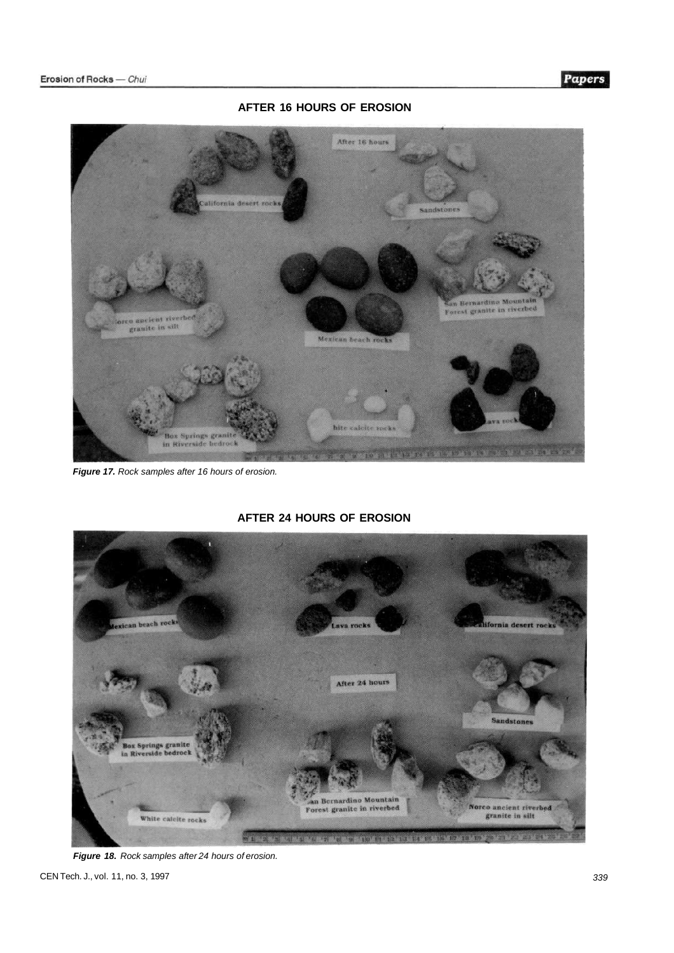

**AFTER 16 HOURS OF EROSION** 

**Figure 17.** Rock samples after 16 hours of erosion.



## **AFTER 24 HOURS OF EROSION**

**Figure 18.** Rock samples after 24 hours of erosion.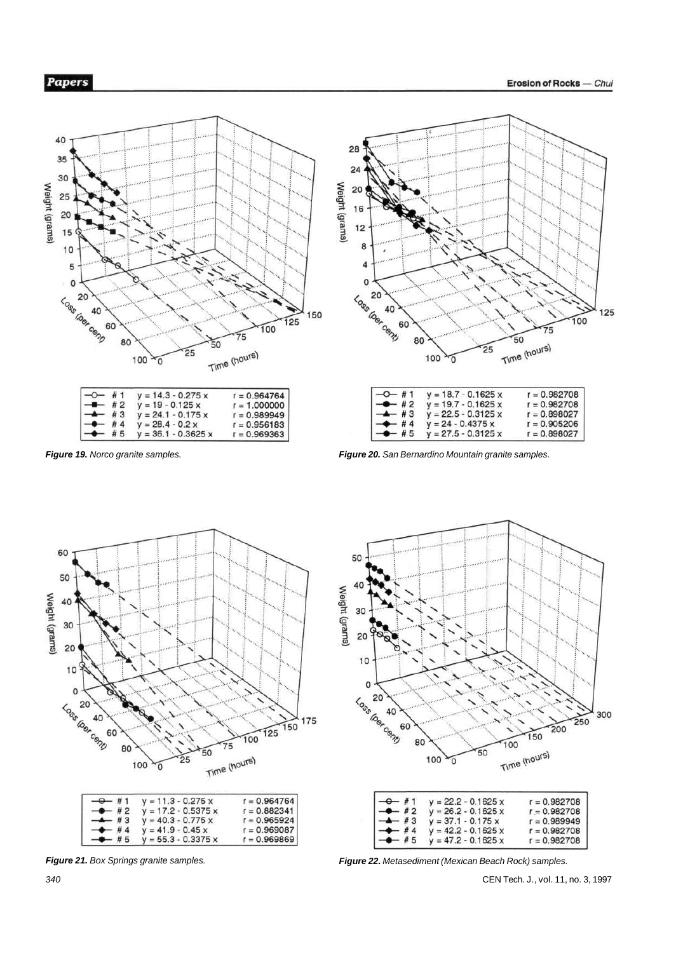

 $y = 36.1 - 0.3625 x$ 

 $r = 0.969363$ 



| $ +$ 5       | $y = 27.5 - 0.3125 x$ | $r = 0.898027$ |
|--------------|-----------------------|----------------|
| $-4$ #4      | $y = 24 - 0.4375 x$   | $r = 0.905206$ |
| $ +$ 3       | $V = 22.5 - 0.3125$ x | $r = 0.898027$ |
| $-4$ #2      | $y = 19.7 - 0.1625 x$ | $r = 0.982708$ |
| $1 - 0 - 11$ | $V = 18.7 - 0.1625$ x | $r = 0.982708$ |

**Figure 19.** Norco granite samples. **Figure 20.** San Bernardino Mountain granite samples.



50 40 Weight (grams) 30 20  $10$ 0 Loss dos comp 300  $\frac{250}{250}$ 60 200 150 80  $\overline{100}$ Time (hours) 50 100 y  $y = 22.2 - 0.1625$  x<br> $y = 26.2 - 0.1625$  x  $r = 0.982708$  $#1$  $#2$  $r = 0.982708$  $y = 26.2 - 0.1625$  x<br> $y = 37.1 - 0.175$  x<br> $y = 42.2 - 0.1625$  x  $\frac{1}{4}$  3<br> $\frac{1}{4}$  4  $r = 0.989949$  $r = 0.982708$  $y = 47.2 - 0.1625$  x  $# 5$  $r = 0.982708$ 

**Figure 21.** Box Springs granite samples.

**Figure 22.** Metasediment (Mexican Beach Rock) samples.

CEN Tech. J., vol. 11, no. 3, 1997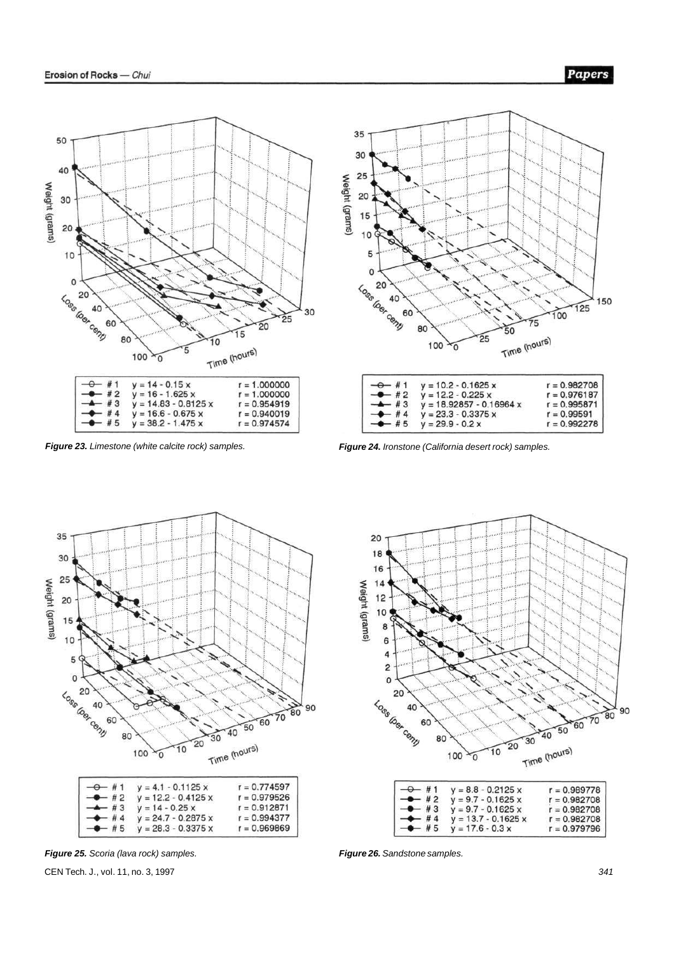



| $-$ <del>0</del> #1 | $y = 10.2 - 0.1625 x$      | $r = 0.982708$ |
|---------------------|----------------------------|----------------|
| $-2$ #2             | $y = 12.2 - 0.225 x$       | $r = 0.976187$ |
| $-4$ #3             | $y = 18.92857 - 0.16964 x$ | $r = 0.995871$ |
| #4                  | $y = 23.3 - 0.3375 x$      | $r = 0.99591$  |
| $-4$ #5             | $y = 29.9 - 0.2x$          | $r = 0.992278$ |

**Figure 23.** Limestone (white calcite rock) samples. **Figure 24.** Ironstone (California desert rock) samples.



 $\overline{c}$  $\mathbf{o}$  $20$ Loss Gost Conn 60  $\frac{1}{40}$  50  $\frac{1}{20}$  30 80 June (hours)  $\overline{10}$ 100 y # 1  $y = 8.8 - 0.2125 x$  $\begin{array}{c} \#2 \\ \#3 \end{array}$  $= 9.7 - 0.1625 x$ ÿ  $y = 9.7 - 0.1625 x$  $y = 13.7 - 0.1625$  x<br> $y = 17.6 - 0.3$  x  $# 4$ <br> $# 5$ **Figure 26.** Sandstone samples.

20 18

16

 $14$ 

 $10$ 

8

6 4

Weight (grams)  $12$ 

**Figure 25.** Scoria (lava rock) samples.

CEN Tech. J., vol. 11, no. 3, 1997

90  $\frac{1}{80}$  $\widetilde{70}$ 

 $\overline{60}$ 

 $r = 0.989778$ 

 $r = 0.982708$ 

 $r = 0.982708$ 

 $r = 0.982708$ 

 $r = 0.979796$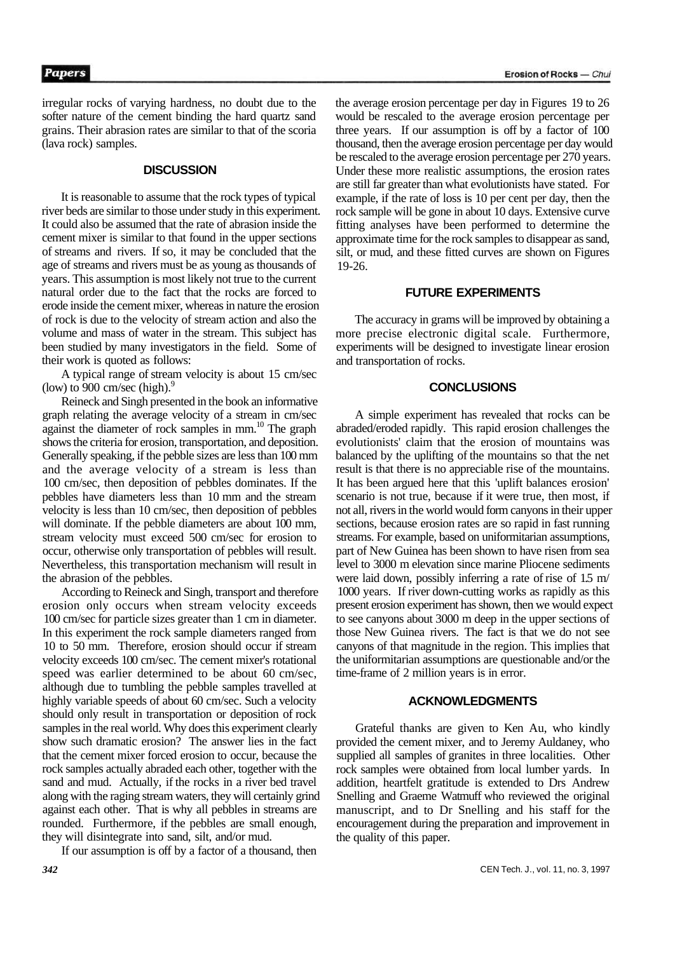irregular rocks of varying hardness, no doubt due to the softer nature of the cement binding the hard quartz sand grains. Their abrasion rates are similar to that of the scoria (lava rock) samples.

#### **DISCUSSION**

It is reasonable to assume that the rock types of typical river beds are similar to those under study in this experiment. It could also be assumed that the rate of abrasion inside the cement mixer is similar to that found in the upper sections of streams and rivers. If so, it may be concluded that the age of streams and rivers must be as young as thousands of years. This assumption is most likely not true to the current natural order due to the fact that the rocks are forced to erode inside the cement mixer, whereas in nature the erosion of rock is due to the velocity of stream action and also the volume and mass of water in the stream. This subject has been studied by many investigators in the field. Some of their work is quoted as follows:

A typical range of stream velocity is about 15 cm/sec (low) to 900 cm/sec (high). $9$ 

Reineck and Singh presented in the book an informative graph relating the average velocity of a stream in cm/sec against the diameter of rock samples in mm.<sup>10</sup> The graph shows the criteria for erosion, transportation, and deposition. Generally speaking, if the pebble sizes are less than 100 mm and the average velocity of a stream is less than 100 cm/sec, then deposition of pebbles dominates. If the pebbles have diameters less than 10 mm and the stream velocity is less than 10 cm/sec, then deposition of pebbles will dominate. If the pebble diameters are about 100 mm, stream velocity must exceed 500 cm/sec for erosion to occur, otherwise only transportation of pebbles will result. Nevertheless, this transportation mechanism will result in the abrasion of the pebbles.

According to Reineck and Singh, transport and therefore erosion only occurs when stream velocity exceeds 100 cm/sec for particle sizes greater than 1 cm in diameter. In this experiment the rock sample diameters ranged from 10 to 50 mm. Therefore, erosion should occur if stream velocity exceeds 100 cm/sec. The cement mixer's rotational speed was earlier determined to be about 60 cm/sec, although due to tumbling the pebble samples travelled at highly variable speeds of about 60 cm/sec. Such a velocity should only result in transportation or deposition of rock samples in the real world. Why does this experiment clearly show such dramatic erosion? The answer lies in the fact that the cement mixer forced erosion to occur, because the rock samples actually abraded each other, together with the sand and mud. Actually, if the rocks in a river bed travel along with the raging stream waters, they will certainly grind against each other. That is why all pebbles in streams are rounded. Furthermore, if the pebbles are small enough, they will disintegrate into sand, silt, and/or mud.

If our assumption is off by a factor of a thousand, then

the average erosion percentage per day in Figures 19 to 26 would be rescaled to the average erosion percentage per three years. If our assumption is off by a factor of 100 thousand, then the average erosion percentage per day would be rescaled to the average erosion percentage per 270 years. Under these more realistic assumptions, the erosion rates are still far greater than what evolutionists have stated. For example, if the rate of loss is 10 per cent per day, then the rock sample will be gone in about 10 days. Extensive curve fitting analyses have been performed to determine the approximate time for the rock samples to disappear as sand, silt, or mud, and these fitted curves are shown on Figures 19-26.

#### **FUTURE EXPERIMENTS**

The accuracy in grams will be improved by obtaining a more precise electronic digital scale. Furthermore, experiments will be designed to investigate linear erosion and transportation of rocks.

#### **CONCLUSIONS**

A simple experiment has revealed that rocks can be abraded/eroded rapidly. This rapid erosion challenges the evolutionists' claim that the erosion of mountains was balanced by the uplifting of the mountains so that the net result is that there is no appreciable rise of the mountains. It has been argued here that this 'uplift balances erosion' scenario is not true, because if it were true, then most, if not all, rivers in the world would form canyons in their upper sections, because erosion rates are so rapid in fast running streams. For example, based on uniformitarian assumptions, part of New Guinea has been shown to have risen from sea level to 3000 m elevation since marine Pliocene sediments were laid down, possibly inferring a rate of rise of 1.5 m/ 1000 years. If river down-cutting works as rapidly as this present erosion experiment has shown, then we would expect to see canyons about 3000 m deep in the upper sections of those New Guinea rivers. The fact is that we do not see canyons of that magnitude in the region. This implies that the uniformitarian assumptions are questionable and/or the time-frame of 2 million years is in error.

#### **ACKNOWLEDGMENTS**

Grateful thanks are given to Ken Au, who kindly provided the cement mixer, and to Jeremy Auldaney, who supplied all samples of granites in three localities. Other rock samples were obtained from local lumber yards. In addition, heartfelt gratitude is extended to Drs Andrew Snelling and Graeme Watmuff who reviewed the original manuscript, and to Dr Snelling and his staff for the encouragement during the preparation and improvement in the quality of this paper.